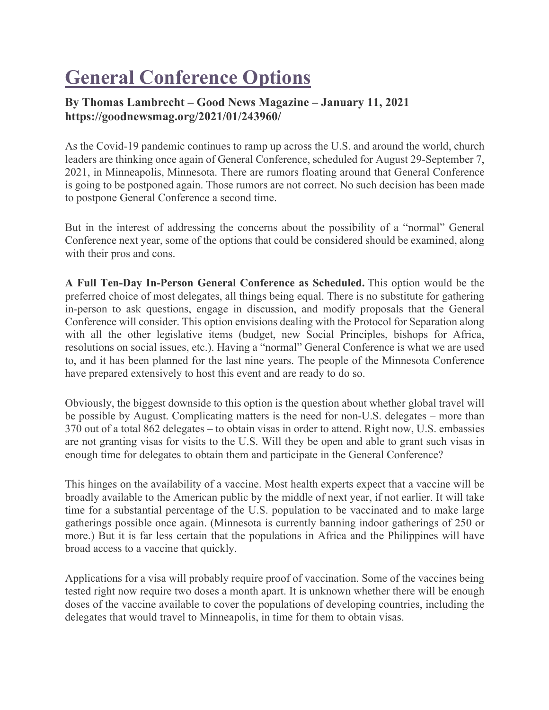## **General Conference Options**

## **By Thomas Lambrecht – Good News Magazine – January 11, 2021 https://goodnewsmag.org/2021/01/243960/**

As the Covid-19 pandemic continues to ramp up across the U.S. and around the world, church leaders are thinking once again of General Conference, scheduled for August 29-September 7, 2021, in Minneapolis, Minnesota. There are rumors floating around that General Conference is going to be postponed again. Those rumors are not correct. No such decision has been made to postpone General Conference a second time.

But in the interest of addressing the concerns about the possibility of a "normal" General Conference next year, some of the options that could be considered should be examined, along with their pros and cons.

**A Full Ten-Day In-Person General Conference as Scheduled.** This option would be the preferred choice of most delegates, all things being equal. There is no substitute for gathering in-person to ask questions, engage in discussion, and modify proposals that the General Conference will consider. This option envisions dealing with the Protocol for Separation along with all the other legislative items (budget, new Social Principles, bishops for Africa, resolutions on social issues, etc.). Having a "normal" General Conference is what we are used to, and it has been planned for the last nine years. The people of the Minnesota Conference have prepared extensively to host this event and are ready to do so.

Obviously, the biggest downside to this option is the question about whether global travel will be possible by August. Complicating matters is the need for non-U.S. delegates – more than 370 out of a total 862 delegates – to obtain visas in order to attend. Right now, U.S. embassies are not granting visas for visits to the U.S. Will they be open and able to grant such visas in enough time for delegates to obtain them and participate in the General Conference?

This hinges on the availability of a vaccine. Most health experts expect that a vaccine will be broadly available to the American public by the middle of next year, if not earlier. It will take time for a substantial percentage of the U.S. population to be vaccinated and to make large gatherings possible once again. (Minnesota is currently banning indoor gatherings of 250 or more.) But it is far less certain that the populations in Africa and the Philippines will have broad access to a vaccine that quickly.

Applications for a visa will probably require proof of vaccination. Some of the vaccines being tested right now require two doses a month apart. It is unknown whether there will be enough doses of the vaccine available to cover the populations of developing countries, including the delegates that would travel to Minneapolis, in time for them to obtain visas.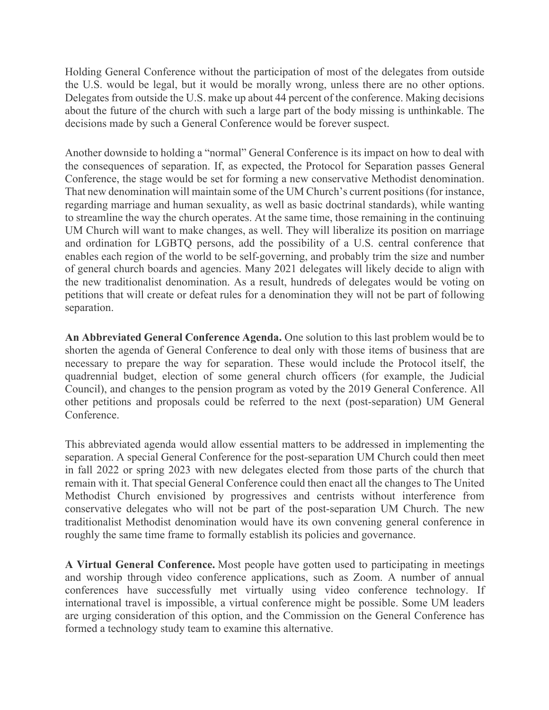Holding General Conference without the participation of most of the delegates from outside the U.S. would be legal, but it would be morally wrong, unless there are no other options. Delegates from outside the U.S. make up about 44 percent of the conference. Making decisions about the future of the church with such a large part of the body missing is unthinkable. The decisions made by such a General Conference would be forever suspect.

Another downside to holding a "normal" General Conference is its impact on how to deal with the consequences of separation. If, as expected, the Protocol for Separation passes General Conference, the stage would be set for forming a new conservative Methodist denomination. That new denomination will maintain some of the UM Church's current positions (for instance, regarding marriage and human sexuality, as well as basic doctrinal standards), while wanting to streamline the way the church operates. At the same time, those remaining in the continuing UM Church will want to make changes, as well. They will liberalize its position on marriage and ordination for LGBTQ persons, add the possibility of a U.S. central conference that enables each region of the world to be self-governing, and probably trim the size and number of general church boards and agencies. Many 2021 delegates will likely decide to align with the new traditionalist denomination. As a result, hundreds of delegates would be voting on petitions that will create or defeat rules for a denomination they will not be part of following separation.

**An Abbreviated General Conference Agenda.** One solution to this last problem would be to shorten the agenda of General Conference to deal only with those items of business that are necessary to prepare the way for separation. These would include the Protocol itself, the quadrennial budget, election of some general church officers (for example, the Judicial Council), and changes to the pension program as voted by the 2019 General Conference. All other petitions and proposals could be referred to the next (post-separation) UM General Conference.

This abbreviated agenda would allow essential matters to be addressed in implementing the separation. A special General Conference for the post-separation UM Church could then meet in fall 2022 or spring 2023 with new delegates elected from those parts of the church that remain with it. That special General Conference could then enact all the changes to The United Methodist Church envisioned by progressives and centrists without interference from conservative delegates who will not be part of the post-separation UM Church. The new traditionalist Methodist denomination would have its own convening general conference in roughly the same time frame to formally establish its policies and governance.

**A Virtual General Conference.** Most people have gotten used to participating in meetings and worship through video conference applications, such as Zoom. A number of annual conferences have successfully met virtually using video conference technology. If international travel is impossible, a virtual conference might be possible. Some UM leaders are urging consideration of this option, and the Commission on the General Conference has formed a technology study team to examine this alternative.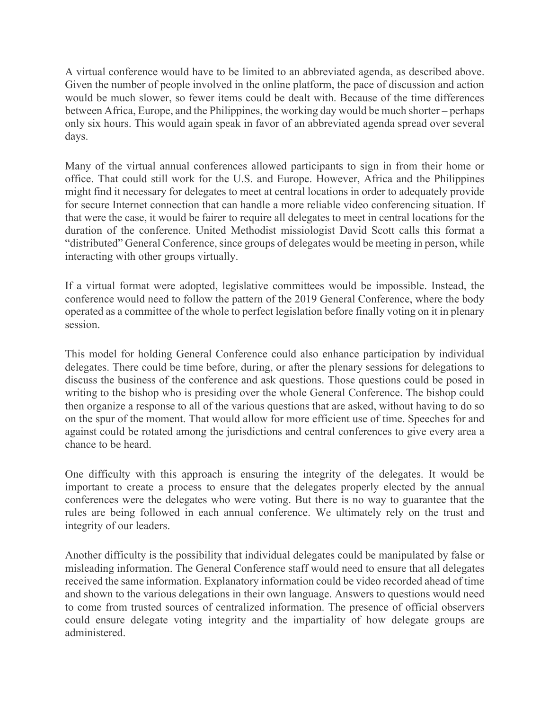A virtual conference would have to be limited to an abbreviated agenda, as described above. Given the number of people involved in the online platform, the pace of discussion and action would be much slower, so fewer items could be dealt with. Because of the time differences between Africa, Europe, and the Philippines, the working day would be much shorter – perhaps only six hours. This would again speak in favor of an abbreviated agenda spread over several days.

Many of the virtual annual conferences allowed participants to sign in from their home or office. That could still work for the U.S. and Europe. However, Africa and the Philippines might find it necessary for delegates to meet at central locations in order to adequately provide for secure Internet connection that can handle a more reliable video conferencing situation. If that were the case, it would be fairer to require all delegates to meet in central locations for the duration of the conference. United Methodist missiologist David Scott calls this format a "distributed" General Conference, since groups of delegates would be meeting in person, while interacting with other groups virtually.

If a virtual format were adopted, legislative committees would be impossible. Instead, the conference would need to follow the pattern of the 2019 General Conference, where the body operated as a committee of the whole to perfect legislation before finally voting on it in plenary session.

This model for holding General Conference could also enhance participation by individual delegates. There could be time before, during, or after the plenary sessions for delegations to discuss the business of the conference and ask questions. Those questions could be posed in writing to the bishop who is presiding over the whole General Conference. The bishop could then organize a response to all of the various questions that are asked, without having to do so on the spur of the moment. That would allow for more efficient use of time. Speeches for and against could be rotated among the jurisdictions and central conferences to give every area a chance to be heard.

One difficulty with this approach is ensuring the integrity of the delegates. It would be important to create a process to ensure that the delegates properly elected by the annual conferences were the delegates who were voting. But there is no way to guarantee that the rules are being followed in each annual conference. We ultimately rely on the trust and integrity of our leaders.

Another difficulty is the possibility that individual delegates could be manipulated by false or misleading information. The General Conference staff would need to ensure that all delegates received the same information. Explanatory information could be video recorded ahead of time and shown to the various delegations in their own language. Answers to questions would need to come from trusted sources of centralized information. The presence of official observers could ensure delegate voting integrity and the impartiality of how delegate groups are administered.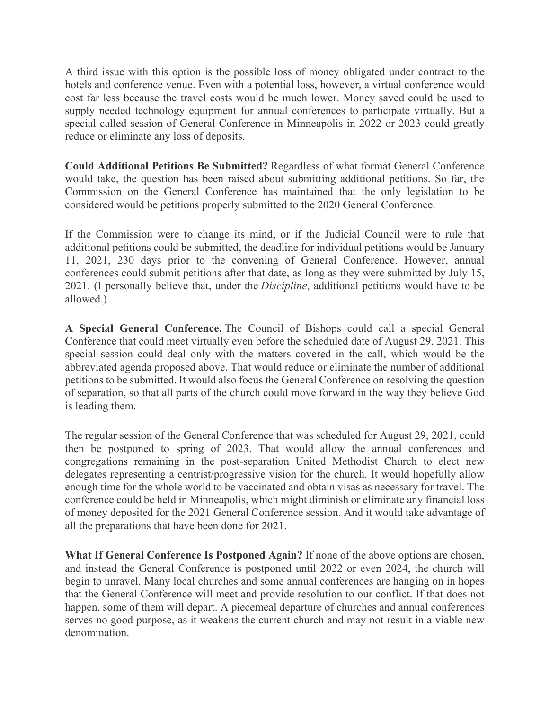A third issue with this option is the possible loss of money obligated under contract to the hotels and conference venue. Even with a potential loss, however, a virtual conference would cost far less because the travel costs would be much lower. Money saved could be used to supply needed technology equipment for annual conferences to participate virtually. But a special called session of General Conference in Minneapolis in 2022 or 2023 could greatly reduce or eliminate any loss of deposits.

**Could Additional Petitions Be Submitted?** Regardless of what format General Conference would take, the question has been raised about submitting additional petitions. So far, the Commission on the General Conference has maintained that the only legislation to be considered would be petitions properly submitted to the 2020 General Conference.

If the Commission were to change its mind, or if the Judicial Council were to rule that additional petitions could be submitted, the deadline for individual petitions would be January 11, 2021, 230 days prior to the convening of General Conference. However, annual conferences could submit petitions after that date, as long as they were submitted by July 15, 2021. (I personally believe that, under the *Discipline*, additional petitions would have to be allowed.)

**A Special General Conference.** The Council of Bishops could call a special General Conference that could meet virtually even before the scheduled date of August 29, 2021. This special session could deal only with the matters covered in the call, which would be the abbreviated agenda proposed above. That would reduce or eliminate the number of additional petitions to be submitted. It would also focus the General Conference on resolving the question of separation, so that all parts of the church could move forward in the way they believe God is leading them.

The regular session of the General Conference that was scheduled for August 29, 2021, could then be postponed to spring of 2023. That would allow the annual conferences and congregations remaining in the post-separation United Methodist Church to elect new delegates representing a centrist/progressive vision for the church. It would hopefully allow enough time for the whole world to be vaccinated and obtain visas as necessary for travel. The conference could be held in Minneapolis, which might diminish or eliminate any financial loss of money deposited for the 2021 General Conference session. And it would take advantage of all the preparations that have been done for 2021.

**What If General Conference Is Postponed Again?** If none of the above options are chosen, and instead the General Conference is postponed until 2022 or even 2024, the church will begin to unravel. Many local churches and some annual conferences are hanging on in hopes that the General Conference will meet and provide resolution to our conflict. If that does not happen, some of them will depart. A piecemeal departure of churches and annual conferences serves no good purpose, as it weakens the current church and may not result in a viable new denomination.